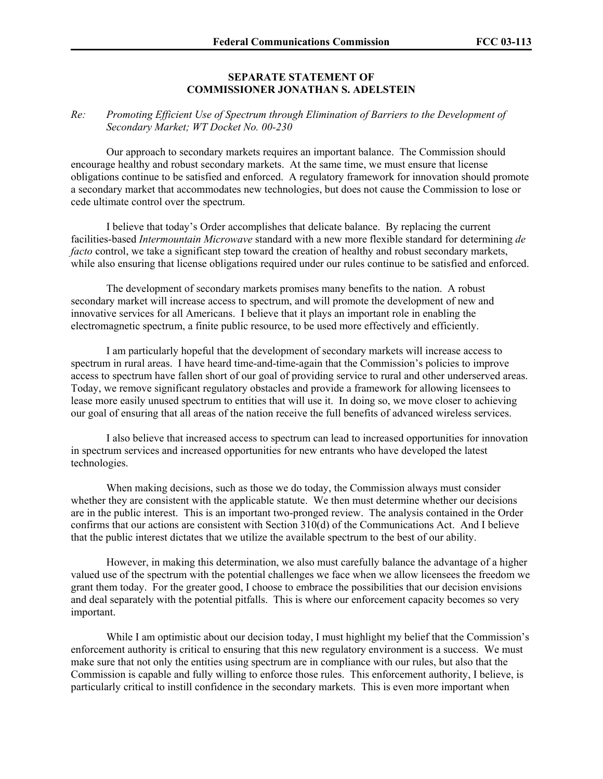## **SEPARATE STATEMENT OF COMMISSIONER JONATHAN S. ADELSTEIN**

## *Re: Promoting Efficient Use of Spectrum through Elimination of Barriers to the Development of Secondary Market; WT Docket No. 00-230*

 Our approach to secondary markets requires an important balance. The Commission should encourage healthy and robust secondary markets. At the same time, we must ensure that license obligations continue to be satisfied and enforced. A regulatory framework for innovation should promote a secondary market that accommodates new technologies, but does not cause the Commission to lose or cede ultimate control over the spectrum.

 I believe that today's Order accomplishes that delicate balance. By replacing the current facilities-based *Intermountain Microwave* standard with a new more flexible standard for determining *de facto* control, we take a significant step toward the creation of healthy and robust secondary markets, while also ensuring that license obligations required under our rules continue to be satisfied and enforced.

 The development of secondary markets promises many benefits to the nation. A robust secondary market will increase access to spectrum, and will promote the development of new and innovative services for all Americans. I believe that it plays an important role in enabling the electromagnetic spectrum, a finite public resource, to be used more effectively and efficiently.

 I am particularly hopeful that the development of secondary markets will increase access to spectrum in rural areas. I have heard time-and-time-again that the Commission's policies to improve access to spectrum have fallen short of our goal of providing service to rural and other underserved areas. Today, we remove significant regulatory obstacles and provide a framework for allowing licensees to lease more easily unused spectrum to entities that will use it. In doing so, we move closer to achieving our goal of ensuring that all areas of the nation receive the full benefits of advanced wireless services.

 I also believe that increased access to spectrum can lead to increased opportunities for innovation in spectrum services and increased opportunities for new entrants who have developed the latest technologies.

 When making decisions, such as those we do today, the Commission always must consider whether they are consistent with the applicable statute. We then must determine whether our decisions are in the public interest. This is an important two-pronged review. The analysis contained in the Order confirms that our actions are consistent with Section 310(d) of the Communications Act. And I believe that the public interest dictates that we utilize the available spectrum to the best of our ability.

 However, in making this determination, we also must carefully balance the advantage of a higher valued use of the spectrum with the potential challenges we face when we allow licensees the freedom we grant them today. For the greater good, I choose to embrace the possibilities that our decision envisions and deal separately with the potential pitfalls. This is where our enforcement capacity becomes so very important.

 While I am optimistic about our decision today, I must highlight my belief that the Commission's enforcement authority is critical to ensuring that this new regulatory environment is a success. We must make sure that not only the entities using spectrum are in compliance with our rules, but also that the Commission is capable and fully willing to enforce those rules. This enforcement authority, I believe, is particularly critical to instill confidence in the secondary markets. This is even more important when